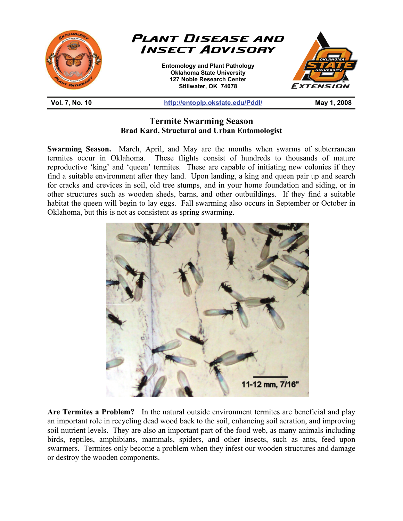

## **Termite Swarming Season Brad Kard, Structural and Urban Entomologist**

**Swarming Season.** March, April, and May are the months when swarms of subterranean termites occur in Oklahoma. These flights consist of hundreds to thousands of mature reproductive 'king' and 'queen' termites. These are capable of initiating new colonies if they find a suitable environment after they land. Upon landing, a king and queen pair up and search for cracks and crevices in soil, old tree stumps, and in your home foundation and siding, or in other structures such as wooden sheds, barns, and other outbuildings. If they find a suitable habitat the queen will begin to lay eggs. Fall swarming also occurs in September or October in Oklahoma, but this is not as consistent as spring swarming.



**Are Termites a Problem?** In the natural outside environment termites are beneficial and play an important role in recycling dead wood back to the soil, enhancing soil aeration, and improving soil nutrient levels. They are also an important part of the food web, as many animals including birds, reptiles, amphibians, mammals, spiders, and other insects, such as ants, feed upon swarmers. Termites only become a problem when they infest our wooden structures and damage or destroy the wooden components.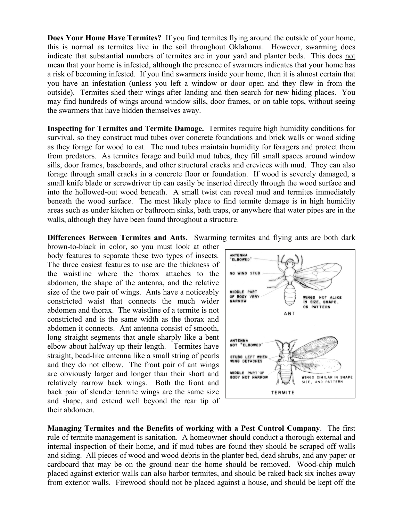**Does Your Home Have Termites?** If you find termites flying around the outside of your home, this is normal as termites live in the soil throughout Oklahoma. However, swarming does indicate that substantial numbers of termites are in your yard and planter beds. This does not mean that your home is infested, although the presence of swarmers indicates that your home has a risk of becoming infested. If you find swarmers inside your home, then it is almost certain that you have an infestation (unless you left a window or door open and they flew in from the outside). Termites shed their wings after landing and then search for new hiding places. You may find hundreds of wings around window sills, door frames, or on table tops, without seeing the swarmers that have hidden themselves away.

**Inspecting for Termites and Termite Damage.** Termites require high humidity conditions for survival, so they construct mud tubes over concrete foundations and brick walls or wood siding as they forage for wood to eat. The mud tubes maintain humidity for foragers and protect them from predators. As termites forage and build mud tubes, they fill small spaces around window sills, door frames, baseboards, and other structural cracks and crevices with mud. They can also forage through small cracks in a concrete floor or foundation. If wood is severely damaged, a small knife blade or screwdriver tip can easily be inserted directly through the wood surface and into the hollowed-out wood beneath. A small twist can reveal mud and termites immediately beneath the wood surface. The most likely place to find termite damage is in high humidity areas such as under kitchen or bathroom sinks, bath traps, or anywhere that water pipes are in the walls, although they have been found throughout a structure.

**Differences Between Termites and Ants.** Swarming termites and flying ants are both dark

brown-to-black in color, so you must look at other body features to separate these two types of insects. The three easiest features to use are the thickness of the waistline where the thorax attaches to the abdomen, the shape of the antenna, and the relative size of the two pair of wings. Ants have a noticeably constricted waist that connects the much wider abdomen and thorax. The waistline of a termite is not constricted and is the same width as the thorax and abdomen it connects. Ant antenna consist of smooth, long straight segments that angle sharply like a bent elbow about halfway up their length. Termites have straight, bead-like antenna like a small string of pearls and they do not elbow. The front pair of ant wings are obviously larger and longer than their short and relatively narrow back wings. Both the front and back pair of slender termite wings are the same size and shape, and extend well beyond the rear tip of their abdomen.



**Managing Termites and the Benefits of working with a Pest Control Company**. The first rule of termite management is sanitation. A homeowner should conduct a thorough external and internal inspection of their home, and if mud tubes are found they should be scraped off walls and siding. All pieces of wood and wood debris in the planter bed, dead shrubs, and any paper or cardboard that may be on the ground near the home should be removed. Wood-chip mulch placed against exterior walls can also harbor termites, and should be raked back six inches away from exterior walls. Firewood should not be placed against a house, and should be kept off the